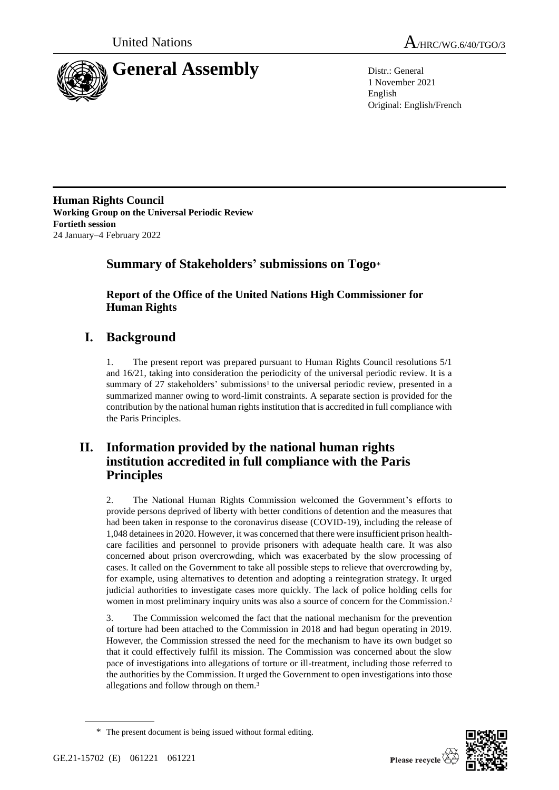



1 November 2021 English Original: English/French

**Human Rights Council Working Group on the Universal Periodic Review Fortieth session** 24 January–4 February 2022

## **Summary of Stakeholders' submissions on Togo**\*

**Report of the Office of the United Nations High Commissioner for Human Rights**

# **I. Background**

1. The present report was prepared pursuant to Human Rights Council resolutions 5/1 and 16/21, taking into consideration the periodicity of the universal periodic review. It is a summary of  $27$  stakeholders' submissions<sup>1</sup> to the universal periodic review, presented in a summarized manner owing to word-limit constraints. A separate section is provided for the contribution by the national human rights institution that is accredited in full compliance with the Paris Principles.

## **II. Information provided by the national human rights institution accredited in full compliance with the Paris Principles**

2. The National Human Rights Commission welcomed the Government's efforts to provide persons deprived of liberty with better conditions of detention and the measures that had been taken in response to the coronavirus disease (COVID-19), including the release of 1,048 detainees in 2020. However, it was concerned that there were insufficient prison healthcare facilities and personnel to provide prisoners with adequate health care. It was also concerned about prison overcrowding, which was exacerbated by the slow processing of cases. It called on the Government to take all possible steps to relieve that overcrowding by, for example, using alternatives to detention and adopting a reintegration strategy. It urged judicial authorities to investigate cases more quickly. The lack of police holding cells for women in most preliminary inquiry units was also a source of concern for the Commission.<sup>2</sup>

3. The Commission welcomed the fact that the national mechanism for the prevention of torture had been attached to the Commission in 2018 and had begun operating in 2019. However, the Commission stressed the need for the mechanism to have its own budget so that it could effectively fulfil its mission. The Commission was concerned about the slow pace of investigations into allegations of torture or ill-treatment, including those referred to the authorities by the Commission. It urged the Government to open investigations into those allegations and follow through on them.<sup>3</sup>



<sup>\*</sup> The present document is being issued without formal editing.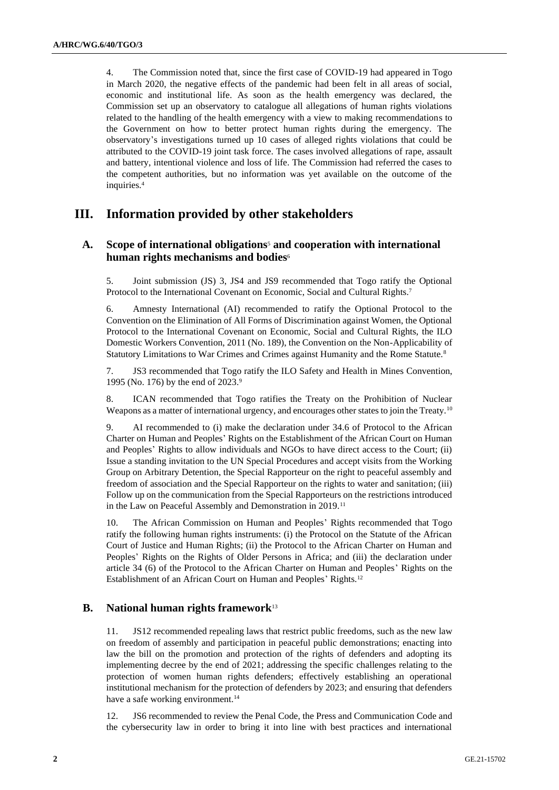4. The Commission noted that, since the first case of COVID-19 had appeared in Togo in March 2020, the negative effects of the pandemic had been felt in all areas of social, economic and institutional life. As soon as the health emergency was declared, the Commission set up an observatory to catalogue all allegations of human rights violations related to the handling of the health emergency with a view to making recommendations to the Government on how to better protect human rights during the emergency. The observatory's investigations turned up 10 cases of alleged rights violations that could be attributed to the COVID-19 joint task force. The cases involved allegations of rape, assault and battery, intentional violence and loss of life. The Commission had referred the cases to the competent authorities, but no information was yet available on the outcome of the inquiries.<sup>4</sup>

## **III. Information provided by other stakeholders**

## **A. Scope of international obligations**<sup>5</sup> **and cooperation with international human rights mechanisms and bodies**<sup>6</sup>

5. Joint submission (JS) 3, JS4 and JS9 recommended that Togo ratify the Optional Protocol to the International Covenant on Economic, Social and Cultural Rights.<sup>7</sup>

6. Amnesty International (AI) recommended to ratify the Optional Protocol to the Convention on the Elimination of All Forms of Discrimination against Women, the Optional Protocol to the International Covenant on Economic, Social and Cultural Rights, the ILO Domestic Workers Convention, 2011 (No. 189), the Convention on the Non-Applicability of Statutory Limitations to War Crimes and Crimes against Humanity and the Rome Statute.<sup>8</sup>

7. JS3 recommended that Togo ratify the ILO Safety and Health in Mines Convention, 1995 (No. 176) by the end of 2023.<sup>9</sup>

8. ICAN recommended that Togo ratifies the Treaty on the Prohibition of Nuclear Weapons as a matter of international urgency, and encourages other states to join the Treaty.<sup>10</sup>

9. AI recommended to (i) make the declaration under 34.6 of Protocol to the African Charter on Human and Peoples' Rights on the Establishment of the African Court on Human and Peoples' Rights to allow individuals and NGOs to have direct access to the Court; (ii) Issue a standing invitation to the UN Special Procedures and accept visits from the Working Group on Arbitrary Detention, the Special Rapporteur on the right to peaceful assembly and freedom of association and the Special Rapporteur on the rights to water and sanitation; (iii) Follow up on the communication from the Special Rapporteurs on the restrictions introduced in the Law on Peaceful Assembly and Demonstration in 2019.<sup>11</sup>

10. The African Commission on Human and Peoples' Rights recommended that Togo ratify the following human rights instruments: (i) the Protocol on the Statute of the African Court of Justice and Human Rights; (ii) the Protocol to the African Charter on Human and Peoples' Rights on the Rights of Older Persons in Africa; and (iii) the declaration under article 34 (6) of the Protocol to the African Charter on Human and Peoples' Rights on the Establishment of an African Court on Human and Peoples' Rights.<sup>12</sup>

## **B. National human rights framework**<sup>13</sup>

11. JS12 recommended repealing laws that restrict public freedoms, such as the new law on freedom of assembly and participation in peaceful public demonstrations; enacting into law the bill on the promotion and protection of the rights of defenders and adopting its implementing decree by the end of 2021; addressing the specific challenges relating to the protection of women human rights defenders; effectively establishing an operational institutional mechanism for the protection of defenders by 2023; and ensuring that defenders have a safe working environment.<sup>14</sup>

12. JS6 recommended to review the Penal Code, the Press and Communication Code and the cybersecurity law in order to bring it into line with best practices and international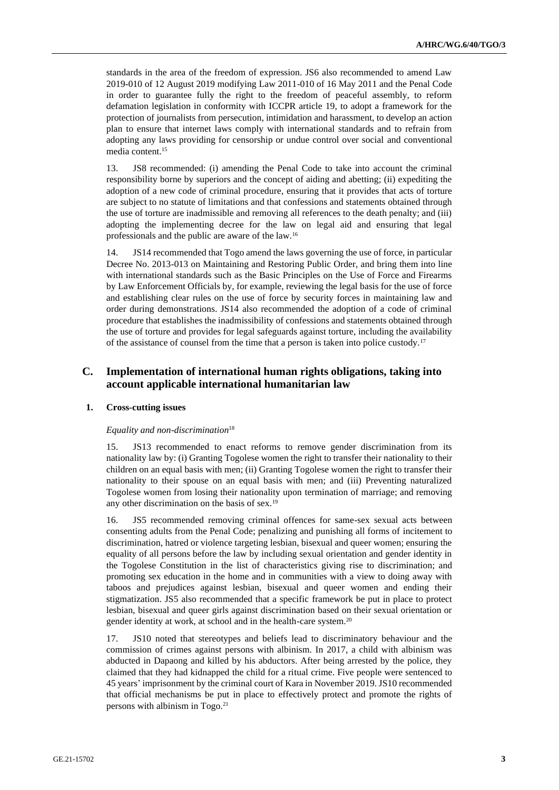standards in the area of the freedom of expression. JS6 also recommended to amend Law 2019-010 of 12 August 2019 modifying Law 2011-010 of 16 May 2011 and the Penal Code in order to guarantee fully the right to the freedom of peaceful assembly, to reform defamation legislation in conformity with ICCPR article 19, to adopt a framework for the protection of journalists from persecution, intimidation and harassment, to develop an action plan to ensure that internet laws comply with international standards and to refrain from adopting any laws providing for censorship or undue control over social and conventional media content.<sup>15</sup>

13. JS8 recommended: (i) amending the Penal Code to take into account the criminal responsibility borne by superiors and the concept of aiding and abetting; (ii) expediting the adoption of a new code of criminal procedure, ensuring that it provides that acts of torture are subject to no statute of limitations and that confessions and statements obtained through the use of torture are inadmissible and removing all references to the death penalty; and (iii) adopting the implementing decree for the law on legal aid and ensuring that legal professionals and the public are aware of the law.<sup>16</sup>

14. JS14 recommended that Togo amend the laws governing the use of force, in particular Decree No. 2013-013 on Maintaining and Restoring Public Order, and bring them into line with international standards such as the Basic Principles on the Use of Force and Firearms by Law Enforcement Officials by, for example, reviewing the legal basis for the use of force and establishing clear rules on the use of force by security forces in maintaining law and order during demonstrations. JS14 also recommended the adoption of a code of criminal procedure that establishes the inadmissibility of confessions and statements obtained through the use of torture and provides for legal safeguards against torture, including the availability of the assistance of counsel from the time that a person is taken into police custody.<sup>17</sup>

## **C. Implementation of international human rights obligations, taking into account applicable international humanitarian law**

## **1. Cross-cutting issues**

### *Equality and non-discrimination*<sup>18</sup>

15. JS13 recommended to enact reforms to remove gender discrimination from its nationality law by: (i) Granting Togolese women the right to transfer their nationality to their children on an equal basis with men; (ii) Granting Togolese women the right to transfer their nationality to their spouse on an equal basis with men; and (iii) Preventing naturalized Togolese women from losing their nationality upon termination of marriage; and removing any other discrimination on the basis of sex.<sup>19</sup>

16. JS5 recommended removing criminal offences for same-sex sexual acts between consenting adults from the Penal Code; penalizing and punishing all forms of incitement to discrimination, hatred or violence targeting lesbian, bisexual and queer women; ensuring the equality of all persons before the law by including sexual orientation and gender identity in the Togolese Constitution in the list of characteristics giving rise to discrimination; and promoting sex education in the home and in communities with a view to doing away with taboos and prejudices against lesbian, bisexual and queer women and ending their stigmatization. JS5 also recommended that a specific framework be put in place to protect lesbian, bisexual and queer girls against discrimination based on their sexual orientation or gender identity at work, at school and in the health-care system.<sup>20</sup>

17. JS10 noted that stereotypes and beliefs lead to discriminatory behaviour and the commission of crimes against persons with albinism. In 2017, a child with albinism was abducted in Dapaong and killed by his abductors. After being arrested by the police, they claimed that they had kidnapped the child for a ritual crime. Five people were sentenced to 45 years' imprisonment by the criminal court of Kara in November 2019. JS10 recommended that official mechanisms be put in place to effectively protect and promote the rights of persons with albinism in Togo.21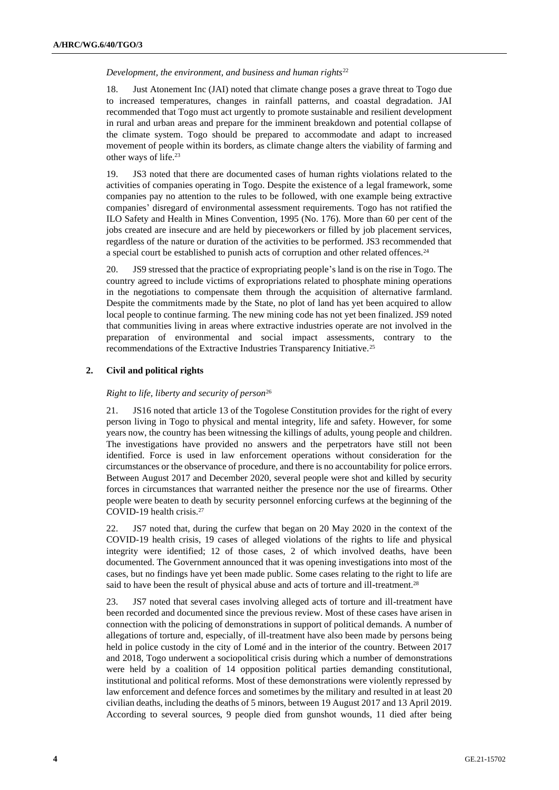#### *Development, the environment, and business and human rights*<sup>22</sup>

18. Just Atonement Inc (JAI) noted that climate change poses a grave threat to Togo due to increased temperatures, changes in rainfall patterns, and coastal degradation. JAI recommended that Togo must act urgently to promote sustainable and resilient development in rural and urban areas and prepare for the imminent breakdown and potential collapse of the climate system. Togo should be prepared to accommodate and adapt to increased movement of people within its borders, as climate change alters the viability of farming and other ways of life.<sup>23</sup>

19. JS3 noted that there are documented cases of human rights violations related to the activities of companies operating in Togo. Despite the existence of a legal framework, some companies pay no attention to the rules to be followed, with one example being extractive companies' disregard of environmental assessment requirements. Togo has not ratified the ILO Safety and Health in Mines Convention, 1995 (No. 176). More than 60 per cent of the jobs created are insecure and are held by pieceworkers or filled by job placement services, regardless of the nature or duration of the activities to be performed. JS3 recommended that a special court be established to punish acts of corruption and other related offences.<sup>24</sup>

20. JS9 stressed that the practice of expropriating people's land is on the rise in Togo. The country agreed to include victims of expropriations related to phosphate mining operations in the negotiations to compensate them through the acquisition of alternative farmland. Despite the commitments made by the State, no plot of land has yet been acquired to allow local people to continue farming. The new mining code has not yet been finalized. JS9 noted that communities living in areas where extractive industries operate are not involved in the preparation of environmental and social impact assessments, contrary to the recommendations of the Extractive Industries Transparency Initiative.<sup>25</sup>

## **2. Civil and political rights**

#### *Right to life, liberty and security of person*<sup>26</sup>

21. JS16 noted that article 13 of the Togolese Constitution provides for the right of every person living in Togo to physical and mental integrity, life and safety. However, for some years now, the country has been witnessing the killings of adults, young people and children. The investigations have provided no answers and the perpetrators have still not been identified. Force is used in law enforcement operations without consideration for the circumstances or the observance of procedure, and there is no accountability for police errors. Between August 2017 and December 2020, several people were shot and killed by security forces in circumstances that warranted neither the presence nor the use of firearms. Other people were beaten to death by security personnel enforcing curfews at the beginning of the COVID-19 health crisis.<sup>27</sup>

22. JS7 noted that, during the curfew that began on 20 May 2020 in the context of the COVID-19 health crisis, 19 cases of alleged violations of the rights to life and physical integrity were identified; 12 of those cases, 2 of which involved deaths, have been documented. The Government announced that it was opening investigations into most of the cases, but no findings have yet been made public. Some cases relating to the right to life are said to have been the result of physical abuse and acts of torture and ill-treatment.<sup>28</sup>

23. JS7 noted that several cases involving alleged acts of torture and ill-treatment have been recorded and documented since the previous review. Most of these cases have arisen in connection with the policing of demonstrations in support of political demands. A number of allegations of torture and, especially, of ill-treatment have also been made by persons being held in police custody in the city of Lomé and in the interior of the country. Between 2017 and 2018, Togo underwent a sociopolitical crisis during which a number of demonstrations were held by a coalition of 14 opposition political parties demanding constitutional, institutional and political reforms. Most of these demonstrations were violently repressed by law enforcement and defence forces and sometimes by the military and resulted in at least 20 civilian deaths, including the deaths of 5 minors, between 19 August 2017 and 13 April 2019. According to several sources, 9 people died from gunshot wounds, 11 died after being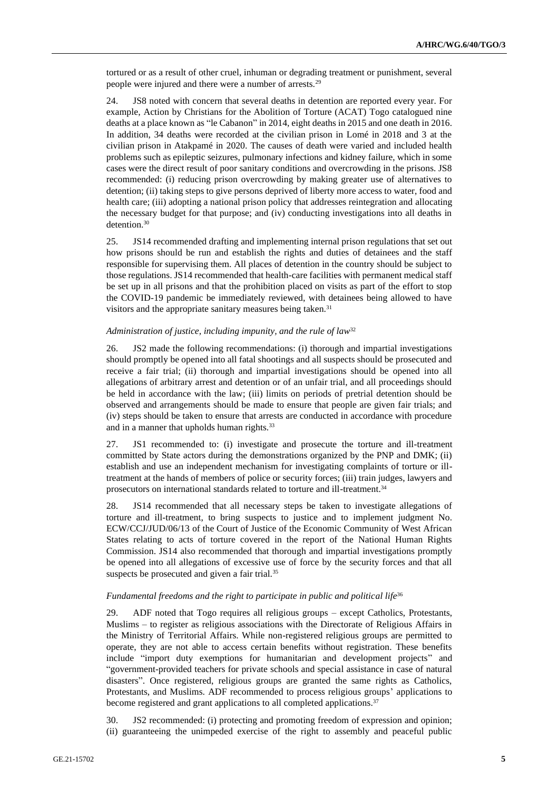tortured or as a result of other cruel, inhuman or degrading treatment or punishment, several people were injured and there were a number of arrests.<sup>29</sup>

24. JS8 noted with concern that several deaths in detention are reported every year. For example, Action by Christians for the Abolition of Torture (ACAT) Togo catalogued nine deaths at a place known as "le Cabanon" in 2014, eight deaths in 2015 and one death in 2016. In addition, 34 deaths were recorded at the civilian prison in Lomé in 2018 and 3 at the civilian prison in Atakpamé in 2020. The causes of death were varied and included health problems such as epileptic seizures, pulmonary infections and kidney failure, which in some cases were the direct result of poor sanitary conditions and overcrowding in the prisons. JS8 recommended: (i) reducing prison overcrowding by making greater use of alternatives to detention; (ii) taking steps to give persons deprived of liberty more access to water, food and health care; (iii) adopting a national prison policy that addresses reintegration and allocating the necessary budget for that purpose; and (iv) conducting investigations into all deaths in detention.<sup>30</sup>

25. JS14 recommended drafting and implementing internal prison regulations that set out how prisons should be run and establish the rights and duties of detainees and the staff responsible for supervising them. All places of detention in the country should be subject to those regulations. JS14 recommended that health-care facilities with permanent medical staff be set up in all prisons and that the prohibition placed on visits as part of the effort to stop the COVID-19 pandemic be immediately reviewed, with detainees being allowed to have visitors and the appropriate sanitary measures being taken.<sup>31</sup>

### *Administration of justice, including impunity, and the rule of law*<sup>32</sup>

26. JS2 made the following recommendations: (i) thorough and impartial investigations should promptly be opened into all fatal shootings and all suspects should be prosecuted and receive a fair trial; (ii) thorough and impartial investigations should be opened into all allegations of arbitrary arrest and detention or of an unfair trial, and all proceedings should be held in accordance with the law; (iii) limits on periods of pretrial detention should be observed and arrangements should be made to ensure that people are given fair trials; and (iv) steps should be taken to ensure that arrests are conducted in accordance with procedure and in a manner that upholds human rights.<sup>33</sup>

27. JS1 recommended to: (i) investigate and prosecute the torture and ill-treatment committed by State actors during the demonstrations organized by the PNP and DMK; (ii) establish and use an independent mechanism for investigating complaints of torture or illtreatment at the hands of members of police or security forces; (iii) train judges, lawyers and prosecutors on international standards related to torture and ill-treatment.<sup>34</sup>

28. JS14 recommended that all necessary steps be taken to investigate allegations of torture and ill-treatment, to bring suspects to justice and to implement judgment No. ECW/CCJ/JUD/06/13 of the Court of Justice of the Economic Community of West African States relating to acts of torture covered in the report of the National Human Rights Commission. JS14 also recommended that thorough and impartial investigations promptly be opened into all allegations of excessive use of force by the security forces and that all suspects be prosecuted and given a fair trial.<sup>35</sup>

### Fundamental freedoms and the right to participate in public and political life<sup>36</sup>

29. ADF noted that Togo requires all religious groups – except Catholics, Protestants, Muslims – to register as religious associations with the Directorate of Religious Affairs in the Ministry of Territorial Affairs. While non-registered religious groups are permitted to operate, they are not able to access certain benefits without registration. These benefits include "import duty exemptions for humanitarian and development projects" and "government-provided teachers for private schools and special assistance in case of natural disasters". Once registered, religious groups are granted the same rights as Catholics, Protestants, and Muslims. ADF recommended to process religious groups' applications to become registered and grant applications to all completed applications.<sup>37</sup>

30. JS2 recommended: (i) protecting and promoting freedom of expression and opinion; (ii) guaranteeing the unimpeded exercise of the right to assembly and peaceful public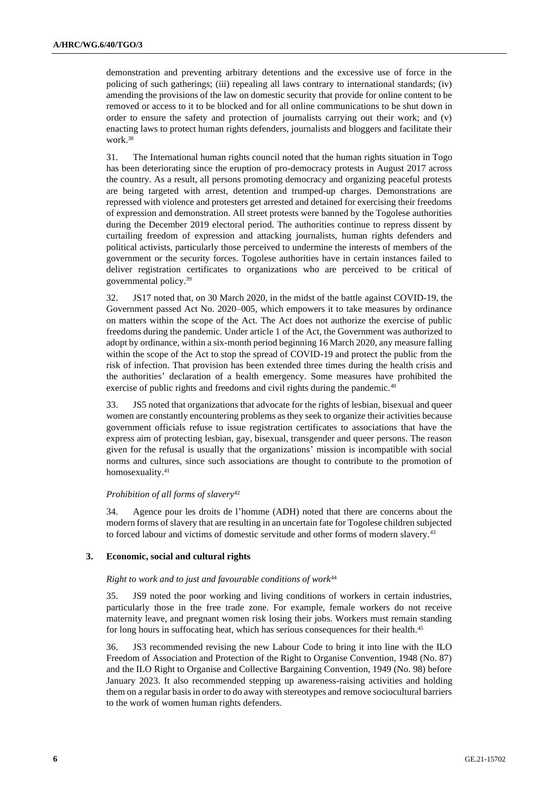demonstration and preventing arbitrary detentions and the excessive use of force in the policing of such gatherings; (iii) repealing all laws contrary to international standards; (iv) amending the provisions of the law on domestic security that provide for online content to be removed or access to it to be blocked and for all online communications to be shut down in order to ensure the safety and protection of journalists carrying out their work; and (v) enacting laws to protect human rights defenders, journalists and bloggers and facilitate their work.<sup>38</sup>

31. The International human rights council noted that the human rights situation in Togo has been deteriorating since the eruption of pro-democracy protests in August 2017 across the country. As a result, all persons promoting democracy and organizing peaceful protests are being targeted with arrest, detention and trumped-up charges. Demonstrations are repressed with violence and protesters get arrested and detained for exercising their freedoms of expression and demonstration. All street protests were banned by the Togolese authorities during the December 2019 electoral period. The authorities continue to repress dissent by curtailing freedom of expression and attacking journalists, human rights defenders and political activists, particularly those perceived to undermine the interests of members of the government or the security forces. Togolese authorities have in certain instances failed to deliver registration certificates to organizations who are perceived to be critical of governmental policy.<sup>39</sup>

32. JS17 noted that, on 30 March 2020, in the midst of the battle against COVID-19, the Government passed Act No. 2020–005, which empowers it to take measures by ordinance on matters within the scope of the Act. The Act does not authorize the exercise of public freedoms during the pandemic. Under article 1 of the Act, the Government was authorized to adopt by ordinance, within a six-month period beginning 16 March 2020, any measure falling within the scope of the Act to stop the spread of COVID-19 and protect the public from the risk of infection. That provision has been extended three times during the health crisis and the authorities' declaration of a health emergency. Some measures have prohibited the exercise of public rights and freedoms and civil rights during the pandemic.<sup>40</sup>

33. JS5 noted that organizations that advocate for the rights of lesbian, bisexual and queer women are constantly encountering problems as they seek to organize their activities because government officials refuse to issue registration certificates to associations that have the express aim of protecting lesbian, gay, bisexual, transgender and queer persons. The reason given for the refusal is usually that the organizations' mission is incompatible with social norms and cultures, since such associations are thought to contribute to the promotion of homosexuality.<sup>41</sup>

### *Prohibition of all forms of slavery*<sup>42</sup>

34. Agence pour les droits de l'homme (ADH) noted that there are concerns about the modern forms of slavery that are resulting in an uncertain fate for Togolese children subjected to forced labour and victims of domestic servitude and other forms of modern slavery.<sup>43</sup>

## **3. Economic, social and cultural rights**

## *Right to work and to just and favourable conditions of work*<sup>44</sup>

35. JS9 noted the poor working and living conditions of workers in certain industries, particularly those in the free trade zone. For example, female workers do not receive maternity leave, and pregnant women risk losing their jobs. Workers must remain standing for long hours in suffocating heat, which has serious consequences for their health.<sup>45</sup>

36. JS3 recommended revising the new Labour Code to bring it into line with the ILO Freedom of Association and Protection of the Right to Organise Convention, 1948 (No. 87) and the ILO Right to Organise and Collective Bargaining Convention, 1949 (No. 98) before January 2023. It also recommended stepping up awareness-raising activities and holding them on a regular basis in order to do away with stereotypes and remove sociocultural barriers to the work of women human rights defenders.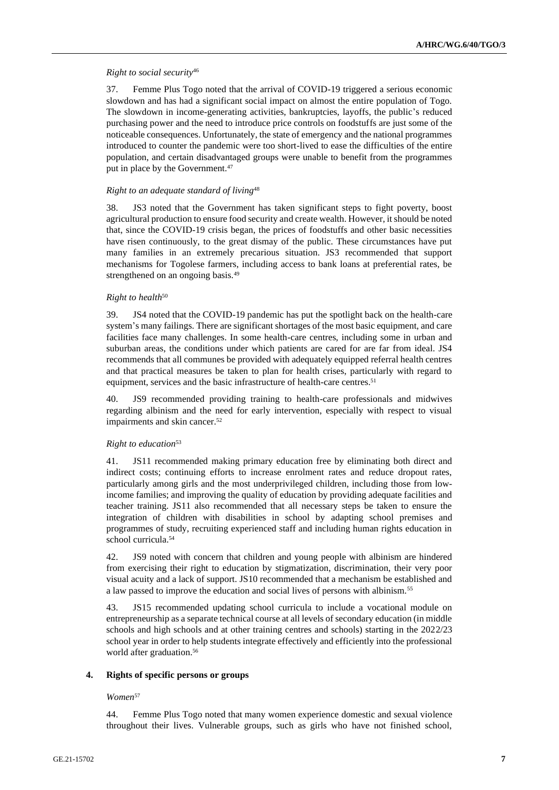## *Right to social security*<sup>46</sup>

37. Femme Plus Togo noted that the arrival of COVID-19 triggered a serious economic slowdown and has had a significant social impact on almost the entire population of Togo. The slowdown in income-generating activities, bankruptcies, layoffs, the public's reduced purchasing power and the need to introduce price controls on foodstuffs are just some of the noticeable consequences. Unfortunately, the state of emergency and the national programmes introduced to counter the pandemic were too short-lived to ease the difficulties of the entire population, and certain disadvantaged groups were unable to benefit from the programmes put in place by the Government.<sup>47</sup>

## *Right to an adequate standard of living*<sup>48</sup>

38. JS3 noted that the Government has taken significant steps to fight poverty, boost agricultural production to ensure food security and create wealth. However, it should be noted that, since the COVID-19 crisis began, the prices of foodstuffs and other basic necessities have risen continuously, to the great dismay of the public. These circumstances have put many families in an extremely precarious situation. JS3 recommended that support mechanisms for Togolese farmers, including access to bank loans at preferential rates, be strengthened on an ongoing basis.<sup>49</sup>

## *Right to health*<sup>50</sup>

39. JS4 noted that the COVID-19 pandemic has put the spotlight back on the health-care system's many failings. There are significant shortages of the most basic equipment, and care facilities face many challenges. In some health-care centres, including some in urban and suburban areas, the conditions under which patients are cared for are far from ideal. JS4 recommends that all communes be provided with adequately equipped referral health centres and that practical measures be taken to plan for health crises, particularly with regard to equipment, services and the basic infrastructure of health-care centres.<sup>51</sup>

40. JS9 recommended providing training to health-care professionals and midwives regarding albinism and the need for early intervention, especially with respect to visual impairments and skin cancer.<sup>52</sup>

## *Right to education*<sup>53</sup>

41. JS11 recommended making primary education free by eliminating both direct and indirect costs; continuing efforts to increase enrolment rates and reduce dropout rates, particularly among girls and the most underprivileged children, including those from lowincome families; and improving the quality of education by providing adequate facilities and teacher training. JS11 also recommended that all necessary steps be taken to ensure the integration of children with disabilities in school by adapting school premises and programmes of study, recruiting experienced staff and including human rights education in school curricula.<sup>54</sup>

42. JS9 noted with concern that children and young people with albinism are hindered from exercising their right to education by stigmatization, discrimination, their very poor visual acuity and a lack of support. JS10 recommended that a mechanism be established and a law passed to improve the education and social lives of persons with albinism.<sup>55</sup>

43. JS15 recommended updating school curricula to include a vocational module on entrepreneurship as a separate technical course at all levels of secondary education (in middle schools and high schools and at other training centres and schools) starting in the 2022/23 school year in order to help students integrate effectively and efficiently into the professional world after graduation.<sup>56</sup>

### **4. Rights of specific persons or groups**

### *Women*<sup>57</sup>

44. Femme Plus Togo noted that many women experience domestic and sexual violence throughout their lives. Vulnerable groups, such as girls who have not finished school,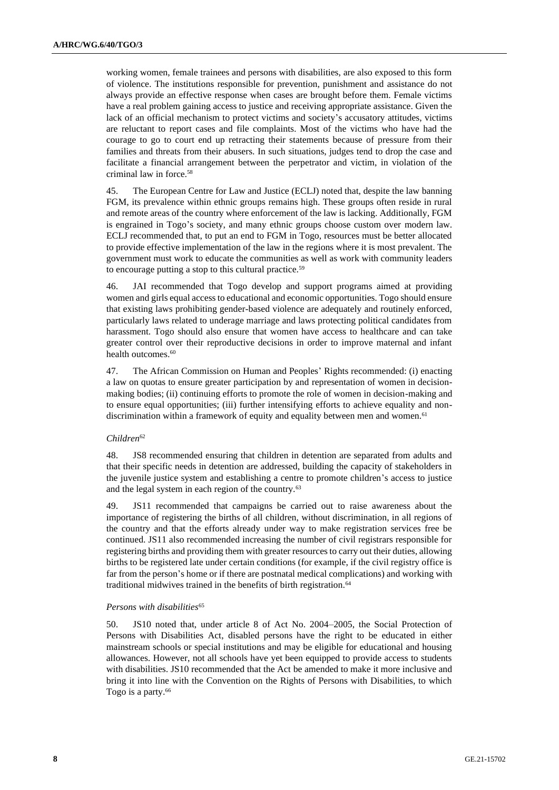working women, female trainees and persons with disabilities, are also exposed to this form of violence. The institutions responsible for prevention, punishment and assistance do not always provide an effective response when cases are brought before them. Female victims have a real problem gaining access to justice and receiving appropriate assistance. Given the lack of an official mechanism to protect victims and society's accusatory attitudes, victims are reluctant to report cases and file complaints. Most of the victims who have had the courage to go to court end up retracting their statements because of pressure from their families and threats from their abusers. In such situations, judges tend to drop the case and facilitate a financial arrangement between the perpetrator and victim, in violation of the criminal law in force.<sup>58</sup>

45. The European Centre for Law and Justice (ECLJ) noted that, despite the law banning FGM, its prevalence within ethnic groups remains high. These groups often reside in rural and remote areas of the country where enforcement of the law is lacking. Additionally, FGM is engrained in Togo's society, and many ethnic groups choose custom over modern law. ECLJ recommended that, to put an end to FGM in Togo, resources must be better allocated to provide effective implementation of the law in the regions where it is most prevalent. The government must work to educate the communities as well as work with community leaders to encourage putting a stop to this cultural practice.<sup>59</sup>

46. JAI recommended that Togo develop and support programs aimed at providing women and girls equal access to educational and economic opportunities. Togo should ensure that existing laws prohibiting gender-based violence are adequately and routinely enforced, particularly laws related to underage marriage and laws protecting political candidates from harassment. Togo should also ensure that women have access to healthcare and can take greater control over their reproductive decisions in order to improve maternal and infant health outcomes.<sup>60</sup>

47. The African Commission on Human and Peoples' Rights recommended: (i) enacting a law on quotas to ensure greater participation by and representation of women in decisionmaking bodies; (ii) continuing efforts to promote the role of women in decision-making and to ensure equal opportunities; (iii) further intensifying efforts to achieve equality and nondiscrimination within a framework of equity and equality between men and women.<sup>61</sup>

### *Children*<sup>62</sup>

48. JS8 recommended ensuring that children in detention are separated from adults and that their specific needs in detention are addressed, building the capacity of stakeholders in the juvenile justice system and establishing a centre to promote children's access to justice and the legal system in each region of the country.<sup>63</sup>

49. JS11 recommended that campaigns be carried out to raise awareness about the importance of registering the births of all children, without discrimination, in all regions of the country and that the efforts already under way to make registration services free be continued. JS11 also recommended increasing the number of civil registrars responsible for registering births and providing them with greater resources to carry out their duties, allowing births to be registered late under certain conditions (for example, if the civil registry office is far from the person's home or if there are postnatal medical complications) and working with traditional midwives trained in the benefits of birth registration.<sup>64</sup>

#### *Persons with disabilities*<sup>65</sup>

50. JS10 noted that, under article 8 of Act No. 2004–2005, the Social Protection of Persons with Disabilities Act, disabled persons have the right to be educated in either mainstream schools or special institutions and may be eligible for educational and housing allowances. However, not all schools have yet been equipped to provide access to students with disabilities. JS10 recommended that the Act be amended to make it more inclusive and bring it into line with the Convention on the Rights of Persons with Disabilities, to which Togo is a party.<sup>66</sup>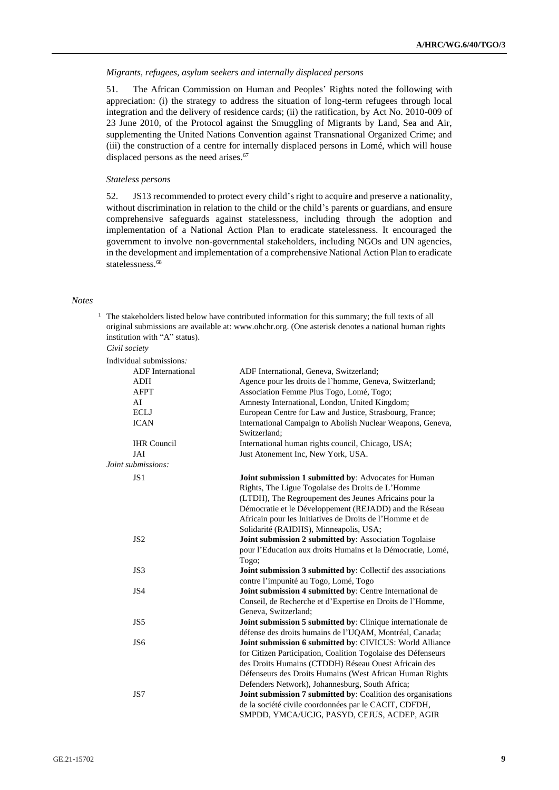#### *Migrants, refugees, asylum seekers and internally displaced persons*

51. The African Commission on Human and Peoples' Rights noted the following with appreciation: (i) the strategy to address the situation of long-term refugees through local integration and the delivery of residence cards; (ii) the ratification, by Act No. 2010-009 of 23 June 2010, of the Protocol against the Smuggling of Migrants by Land, Sea and Air, supplementing the United Nations Convention against Transnational Organized Crime; and (iii) the construction of a centre for internally displaced persons in Lomé, which will house displaced persons as the need arises.<sup>67</sup>

## *Stateless persons*

52. JS13 recommended to protect every child's right to acquire and preserve a nationality, without discrimination in relation to the child or the child's parents or guardians, and ensure comprehensive safeguards against statelessness, including through the adoption and implementation of a National Action Plan to eradicate statelessness. It encouraged the government to involve non-governmental stakeholders, including NGOs and UN agencies, in the development and implementation of a comprehensive National Action Plan to eradicate statelessness.<sup>68</sup>

#### *Notes*

 $1$  The stakeholders listed below have contributed information for this summary; the full texts of all original submissions are available at: [www.ohchr.org.](http://www.ohchr.org/) (One asterisk denotes a national human rights institution with "A" status).

*Civil society*

| Individual submissions.  |                                                               |
|--------------------------|---------------------------------------------------------------|
| <b>ADF</b> International | ADF International, Geneva, Switzerland;                       |
| ADH                      | Agence pour les droits de l'homme, Geneva, Switzerland;       |
| AFPT                     | Association Femme Plus Togo, Lomé, Togo;                      |
| AI                       | Amnesty International, London, United Kingdom;                |
| <b>ECLJ</b>              | European Centre for Law and Justice, Strasbourg, France;      |
| <b>ICAN</b>              | International Campaign to Abolish Nuclear Weapons, Geneva,    |
|                          | Switzerland:                                                  |
| <b>IHR</b> Council       | International human rights council, Chicago, USA;             |
| JAI                      | Just Atonement Inc, New York, USA.                            |
| Joint submissions:       |                                                               |
| JS1                      | Joint submission 1 submitted by: Advocates for Human          |
|                          | Rights, The Ligue Togolaise des Droits de L'Homme             |
|                          | (LTDH), The Regroupement des Jeunes Africains pour la         |
|                          | Démocratie et le Développement (REJADD) and the Réseau        |
|                          | Africain pour les Initiatives de Droits de l'Homme et de      |
|                          | Solidarité (RAIDHS), Minneapolis, USA;                        |
| JS <sub>2</sub>          | Joint submission 2 submitted by: Association Togolaise        |
|                          | pour l'Education aux droits Humains et la Démocratie, Lomé,   |
|                          | Togo;                                                         |
| JS3                      | Joint submission 3 submitted by: Collectif des associations   |
|                          | contre l'impunité au Togo, Lomé, Togo                         |
| JS4                      | Joint submission 4 submitted by: Centre International de      |
|                          | Conseil, de Recherche et d'Expertise en Droits de l'Homme,    |
|                          | Geneva, Switzerland;                                          |
| JS5                      | Joint submission 5 submitted by: Clinique internationale de   |
|                          | défense des droits humains de l'UQAM, Montréal, Canada;       |
| JS <sub>6</sub>          | Joint submission 6 submitted by: CIVICUS: World Alliance      |
|                          | for Citizen Participation, Coalition Togolaise des Défenseurs |
|                          | des Droits Humains (CTDDH) Réseau Ouest Africain des          |
|                          | Défenseurs des Droits Humains (West African Human Rights      |
|                          | Defenders Network), Johannesburg, South Africa;               |
| JS7                      | Joint submission 7 submitted by: Coalition des organisations  |
|                          | de la société civile coordonnées par le CACIT, CDFDH,         |
|                          | SMPDD, YMCA/UCJG, PASYD, CEJUS, ACDEP, AGIR                   |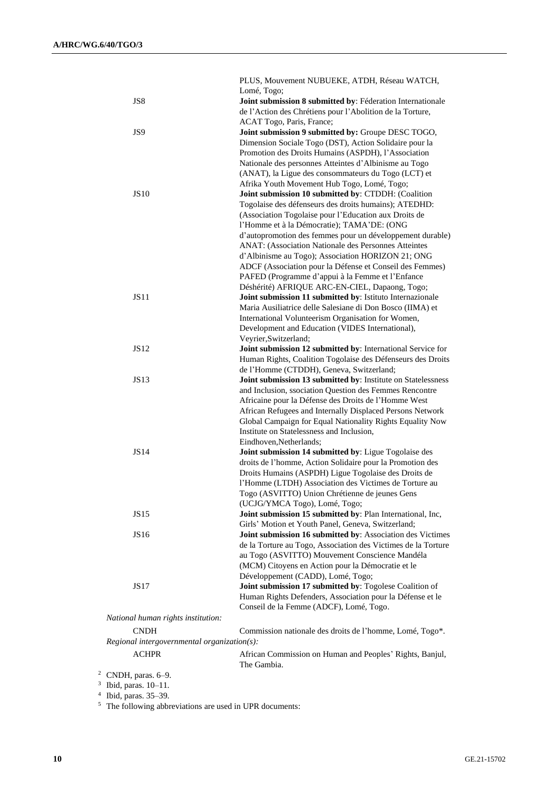|                |                                               | PLUS, Mouvement NUBUEKE, ATDH, Réseau WATCH,                                                                      |
|----------------|-----------------------------------------------|-------------------------------------------------------------------------------------------------------------------|
|                |                                               | Lomé, Togo;                                                                                                       |
|                | JS8                                           | Joint submission 8 submitted by: Féderation Internationale                                                        |
|                |                                               | de l'Action des Chrétiens pour l'Abolition de la Torture,<br>ACAT Togo, Paris, France;                            |
|                | JS9                                           | Joint submission 9 submitted by: Groupe DESC TOGO,                                                                |
|                |                                               | Dimension Sociale Togo (DST), Action Solidaire pour la                                                            |
|                |                                               | Promotion des Droits Humains (ASPDH), l'Association                                                               |
|                |                                               | Nationale des personnes Atteintes d'Albinisme au Togo                                                             |
|                |                                               | (ANAT), la Ligue des consommateurs du Togo (LCT) et                                                               |
|                |                                               | Afrika Youth Movement Hub Togo, Lomé, Togo;                                                                       |
|                | <b>JS10</b>                                   | Joint submission 10 submitted by: CTDDH: (Coalition                                                               |
|                |                                               | Togolaise des défenseurs des droits humains); ATEDHD:                                                             |
|                |                                               | (Association Togolaise pour l'Education aux Droits de                                                             |
|                |                                               | l'Homme et à la Démocratie); TAMA'DE: (ONG                                                                        |
|                |                                               | d'autopromotion des femmes pour un développement durable)                                                         |
|                |                                               | ANAT: (Association Nationale des Personnes Atteintes                                                              |
|                |                                               | d'Albinisme au Togo); Association HORIZON 21; ONG<br>ADCF (Association pour la Défense et Conseil des Femmes)     |
|                |                                               | PAFED (Programme d'appui à la Femme et l'Enfance                                                                  |
|                |                                               | Déshérité) AFRIQUE ARC-EN-CIEL, Dapaong, Togo;                                                                    |
|                | <b>JS11</b>                                   | Joint submission 11 submitted by: Istituto Internazionale                                                         |
|                |                                               | Maria Ausiliatrice delle Salesiane di Don Bosco (IIMA) et                                                         |
|                |                                               | International Volunteerism Organisation for Women,                                                                |
|                |                                               | Development and Education (VIDES International),                                                                  |
|                |                                               | Veyrier, Switzerland;                                                                                             |
|                | <b>JS12</b>                                   | Joint submission 12 submitted by: International Service for                                                       |
|                |                                               | Human Rights, Coalition Togolaise des Défenseurs des Droits                                                       |
|                |                                               | de l'Homme (CTDDH), Geneva, Switzerland;                                                                          |
|                | <b>JS13</b>                                   | Joint submission 13 submitted by: Institute on Statelessness                                                      |
|                |                                               | and Inclusion, ssociation Question des Femmes Rencontre                                                           |
|                |                                               | Africaine pour la Défense des Droits de l'Homme West<br>African Refugees and Internally Displaced Persons Network |
|                |                                               | Global Campaign for Equal Nationality Rights Equality Now                                                         |
|                |                                               | Institute on Statelessness and Inclusion,                                                                         |
|                |                                               | Eindhoven, Netherlands;                                                                                           |
|                | <b>JS14</b>                                   | Joint submission 14 submitted by: Ligue Togolaise des                                                             |
|                |                                               | droits de l'homme, Action Solidaire pour la Promotion des                                                         |
|                |                                               | Droits Humains (ASPDH) Ligue Togolaise des Droits de                                                              |
|                |                                               | l'Homme (LTDH) Association des Victimes de Torture au                                                             |
|                |                                               | Togo (ASVITTO) Union Chrétienne de jeunes Gens                                                                    |
|                |                                               | (UCJG/YMCA Togo), Lomé, Togo;                                                                                     |
|                | JS15                                          | Joint submission 15 submitted by: Plan International, Inc,                                                        |
|                | JS16                                          | Girls' Motion et Youth Panel, Geneva, Switzerland;<br>Joint submission 16 submitted by: Association des Victimes  |
|                |                                               | de la Torture au Togo, Association des Victimes de la Torture                                                     |
|                |                                               | au Togo (ASVITTO) Mouvement Conscience Mandéla                                                                    |
|                |                                               | (MCM) Citoyens en Action pour la Démocratie et le                                                                 |
|                |                                               | Développement (CADD), Lomé, Togo;                                                                                 |
|                | JS17                                          | Joint submission 17 submitted by: Togolese Coalition of                                                           |
|                |                                               | Human Rights Defenders, Association pour la Défense et le                                                         |
|                |                                               | Conseil de la Femme (ADCF), Lomé, Togo.                                                                           |
|                | National human rights institution:            |                                                                                                                   |
|                | <b>CNDH</b>                                   | Commission nationale des droits de l'homme, Lomé, Togo*.                                                          |
|                | $Regional$ intergovernmental organization(s): |                                                                                                                   |
|                | <b>ACHPR</b>                                  | African Commission on Human and Peoples' Rights, Banjul,                                                          |
|                |                                               | The Gambia.                                                                                                       |
|                | <sup>2</sup> CNDH, paras. $6-9$ .             |                                                                                                                   |
|                | Ibid, paras. 10-11.                           |                                                                                                                   |
| $\overline{4}$ | Ibid, paras. 35-39.                           |                                                                                                                   |

<sup>5</sup> The following abbreviations are used in UPR documents: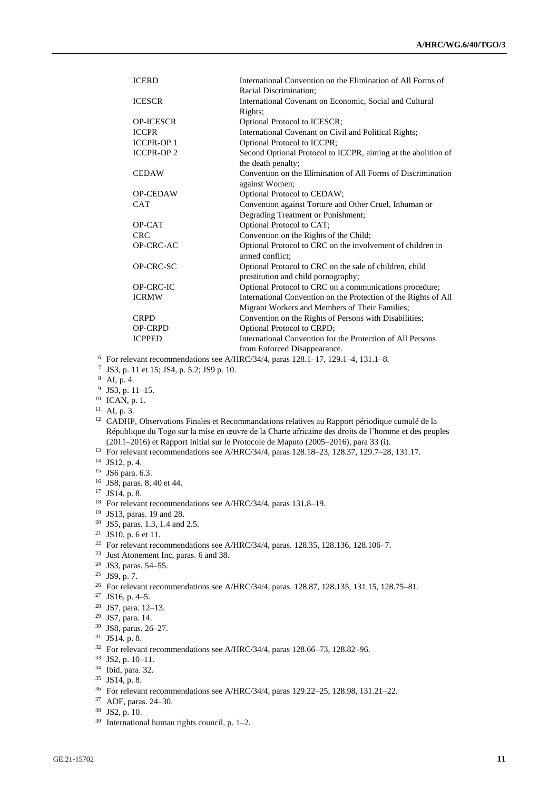| <b>ICERD</b>      | International Convention on the Elimination of All Forms of     |
|-------------------|-----------------------------------------------------------------|
|                   | Racial Discrimination;                                          |
| <b>ICESCR</b>     | International Covenant on Economic, Social and Cultural         |
|                   | Rights;                                                         |
| <b>OP-ICESCR</b>  | Optional Protocol to ICESCR;                                    |
| <b>ICCPR</b>      | International Covenant on Civil and Political Rights;           |
| <b>ICCPR-OP1</b>  | <b>Optional Protocol to ICCPR;</b>                              |
| <b>ICCPR-OP 2</b> | Second Optional Protocol to ICCPR, aiming at the abolition of   |
|                   | the death penalty;                                              |
| <b>CEDAW</b>      | Convention on the Elimination of All Forms of Discrimination    |
|                   | against Women;                                                  |
| <b>OP-CEDAW</b>   | Optional Protocol to CEDAW;                                     |
| <b>CAT</b>        | Convention against Torture and Other Cruel, Inhuman or          |
|                   | Degrading Treatment or Punishment;                              |
| OP-CAT            | Optional Protocol to CAT;                                       |
| <b>CRC</b>        | Convention on the Rights of the Child;                          |
| OP-CRC-AC         | Optional Protocol to CRC on the involvement of children in      |
|                   | armed conflict:                                                 |
| OP-CRC-SC         | Optional Protocol to CRC on the sale of children, child         |
|                   | prostitution and child pornography;                             |
| <b>OP-CRC-IC</b>  | Optional Protocol to CRC on a communications procedure;         |
| <b>ICRMW</b>      | International Convention on the Protection of the Rights of All |
|                   | Migrant Workers and Members of Their Families;                  |
| <b>CRPD</b>       | Convention on the Rights of Persons with Disabilities;          |
| <b>OP-CRPD</b>    | Optional Protocol to CRPD;                                      |
| <b>ICPPED</b>     | International Convention for the Protection of All Persons      |
|                   | from Enforced Disappearance.                                    |

- <sup>6</sup> For relevant recommendations see A/HRC/34/4, paras 128.1–17, 129.1–4, 131.1–8.
- 7 JS3, p. 11 et 15; JS4, p. 5.2; JS9 p. 10.
- <sup>8</sup> AI, p. 4.
- $9$  JS3, p. 11–15.
- $10$  ICAN, p. 1.
- $11$  AI, p. 3.
- 
- <sup>12</sup> CADHP, Observations Finales et Recommandations relatives au Rapport périodique cumulé de la République du Togo sur la mise en œuvre de la Charte africaine des droits de l'homme et des peuples (2011–2016) et Rapport Initial sur le Protocole de Maputo (2005–2016), para 33 (i).
- <sup>13</sup> For relevant recommendations see A/HRC/34/4, paras 128.18–23, 128.37, 129.7–28, 131.17.
- <sup>14</sup> JS12, p. 4.
- <sup>15</sup> JS6 para. 6.3.
- <sup>16</sup> JS8, paras. 8, 40 et 44.
- <sup>17</sup> JS14, p. 8.
- <sup>18</sup> For relevant recommendations see A/HRC/34/4, paras 131.8–19.
- <sup>19</sup> JS13, paras. 19 and 28.
- <sup>20</sup> JS5, paras. 1.3, 1.4 and 2.5.
- <sup>21</sup> JS10, p. 6 et 11.
- <sup>22</sup> For relevant recommendations see A/HRC/34/4, paras. 128.35, 128.136, 128.106–7.
- <sup>23</sup> Just Atonement Inc, paras. 6 and 38.
- <sup>24</sup> JS3, paras. 54–55.
- <sup>25</sup> JS9, p. 7.
- <sup>26</sup> For relevant recommendations see A/HRC/34/4, paras. 128.87, 128.135, 131.15, 128.75–81.
- $27$  JS16, p. 4–5.
- <sup>28</sup> JS7, para. 12–13.
- <sup>29</sup> JS7, para. 14.
- <sup>30</sup> JS8, paras. 26–27.
- <sup>31</sup> JS14, p. 8.
- <sup>32</sup> For relevant recommendations see A/HRC/34/4, paras 128.66–73, 128.82–96.
- <sup>33</sup> JS2, p. 10–11.
- <sup>34</sup> Ibid, para. 32.
- <sup>35</sup> JS14, p. 8.
- <sup>36</sup> For relevant recommendations see A/HRC/34/4, paras 129.22–25, 128.98, 131.21–22.
- <sup>37</sup> ADF, paras. 24–30.
- <sup>38</sup> JS2, p. 10.
- <sup>39</sup> International human rights council, p. 1–2.